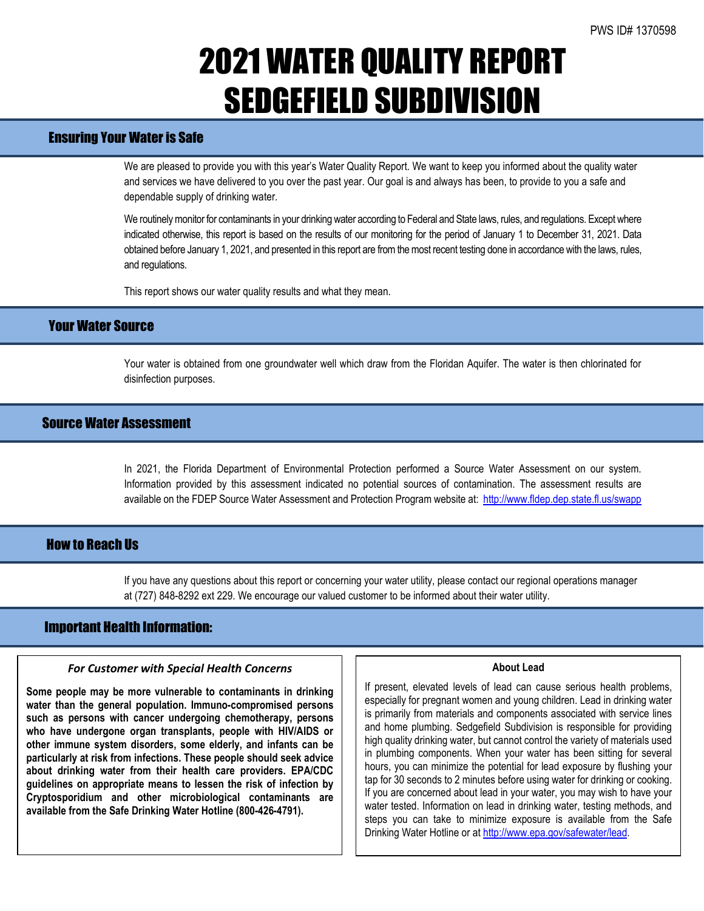## 2021 WATER QUALITY REPORT SEDGEFIELD SUBDIVISION

## Ensuring Your Water is Safe

We are pleased to provide you with this year's Water Quality Report. We want to keep you informed about the quality water and services we have delivered to you over the past year. Our goal is and always has been, to provide to you a safe and dependable supply of drinking water.

We routinely monitor for contaminants in your drinking water according to Federal and State laws, rules, and regulations. Except where indicated otherwise, this report is based on the results of our monitoring for the period of January 1 to December 31, 2021. Data obtained before January 1, 2021, and presented in this report are from the most recent testing done in accordance with the laws, rules, and regulations.

This report shows our water quality results and what they mean.

## Your Water Source

Your water is obtained from one groundwater well which draw from the Floridan Aquifer. The water is then chlorinated for disinfection purposes.

## Source Water Assessment

In 2021, the Florida Department of Environmental Protection performed a Source Water Assessment on our system. Information provided by this assessment indicated no potential sources of contamination. The assessment results are available on the FDEP Source Water Assessment and Protection Program website at:<http://www.fldep.dep.state.fl.us/swapp>

### **How to Reach IIs**

If you have any questions about this report or concerning your water utility, please contact our regional operations manager at (727) 848-8292 ext 229. We encourage our valued customer to be informed about their water utility.

### Important Health Information:

l

### *For Customer with Special Health Concerns*

**Some people may be more vulnerable to contaminants in drinking water than the general population. Immuno-compromised persons such as persons with cancer undergoing chemotherapy, persons who have undergone organ transplants, people with HIV/AIDS or other immune system disorders, some elderly, and infants can be particularly at risk from infections. These people should seek advice about drinking water from their health care providers. EPA/CDC guidelines on appropriate means to lessen the risk of infection by Cryptosporidium and other microbiological contaminants are available from the Safe Drinking Water Hotline (800-426-4791).**

#### **About Lead**

If present, elevated levels of lead can cause serious health problems, especially for pregnant women and young children. Lead in drinking water is primarily from materials and components associated with service lines and home plumbing. Sedgefield Subdivision is responsible for providing high quality drinking water, but cannot control the variety of materials used in plumbing components. When your water has been sitting for several hours, you can minimize the potential for lead exposure by flushing your tap for 30 seconds to 2 minutes before using water for drinking or cooking. If you are concerned about lead in your water, you may wish to have your water tested. Information on lead in drinking water, testing methods, and steps you can take to minimize exposure is available from the Safe Drinking Water Hotline or a[t http://www.epa.gov/safewater/lead.](http://www.epa.gov/safewater/lead)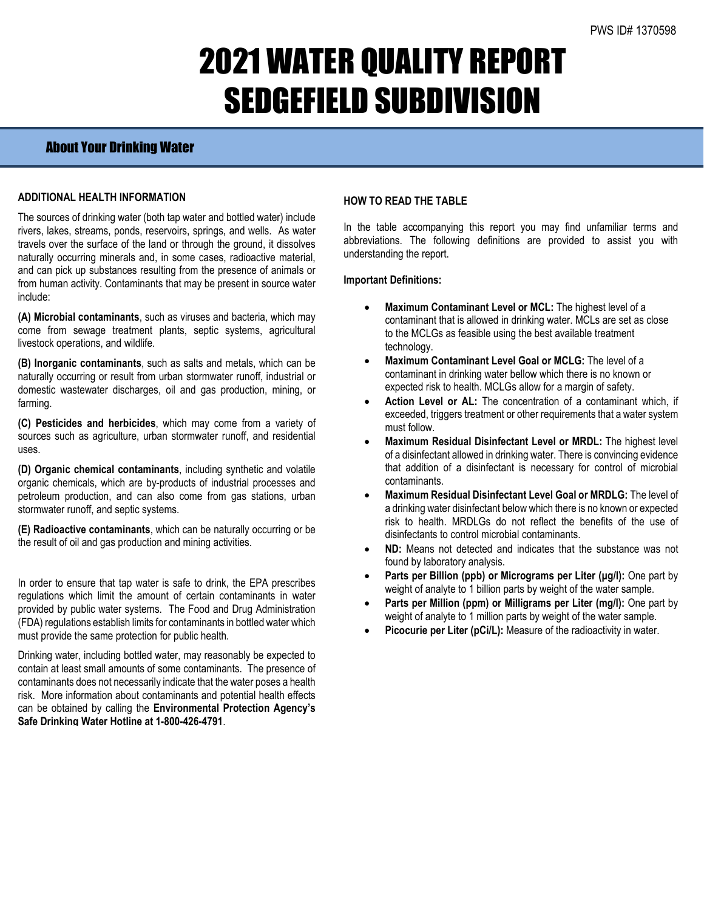## 2021 WATER QUALITY REPORT SEDGEFIELD SUBDIVISION

### About Your Drinking Water

### **ADDITIONAL HEALTH INFORMATION**

The sources of drinking water (both tap water and bottled water) include rivers, lakes, streams, ponds, reservoirs, springs, and wells. As water travels over the surface of the land or through the ground, it dissolves naturally occurring minerals and, in some cases, radioactive material, and can pick up substances resulting from the presence of animals or from human activity. Contaminants that may be present in source water include:

**(A) Microbial contaminants**, such as viruses and bacteria, which may come from sewage treatment plants, septic systems, agricultural livestock operations, and wildlife.

**(B) Inorganic contaminants**, such as salts and metals, which can be naturally occurring or result from urban stormwater runoff, industrial or domestic wastewater discharges, oil and gas production, mining, or farming.

**(C) Pesticides and herbicides**, which may come from a variety of sources such as agriculture, urban stormwater runoff, and residential uses.

**(D) Organic chemical contaminants**, including synthetic and volatile organic chemicals, which are by-products of industrial processes and petroleum production, and can also come from gas stations, urban stormwater runoff, and septic systems.

**(E) Radioactive contaminants**, which can be naturally occurring or be the result of oil and gas production and mining activities.

In order to ensure that tap water is safe to drink, the EPA prescribes regulations which limit the amount of certain contaminants in water provided by public water systems. The Food and Drug Administration (FDA) regulations establish limits for contaminants in bottled water which must provide the same protection for public health.

Drinking water, including bottled water, may reasonably be expected to contain at least small amounts of some contaminants. The presence of contaminants does not necessarily indicate that the water poses a health risk. More information about contaminants and potential health effects can be obtained by calling the **Environmental Protection Agency's Safe Drinking Water Hotline at 1-800-426-4791**.

### **HOW TO READ THE TABLE**

In the table accompanying this report you may find unfamiliar terms and abbreviations. The following definitions are provided to assist you with understanding the report.

#### **Important Definitions:**

- **Maximum Contaminant Level or MCL:** The highest level of a contaminant that is allowed in drinking water. MCLs are set as close to the MCLGs as feasible using the best available treatment technology.
- **Maximum Contaminant Level Goal or MCLG:** The level of a contaminant in drinking water bellow which there is no known or expected risk to health. MCLGs allow for a margin of safety.
- Action Level or AL: The concentration of a contaminant which, if exceeded, triggers treatment or other requirements that a water system must follow.
- **Maximum Residual Disinfectant Level or MRDL:** The highest level of a disinfectant allowed in drinking water. There is convincing evidence that addition of a disinfectant is necessary for control of microbial contaminants.
- **Maximum Residual Disinfectant Level Goal or MRDLG:** The level of a drinking water disinfectant below which there is no known or expected risk to health. MRDLGs do not reflect the benefits of the use of disinfectants to control microbial contaminants.
- **ND:** Means not detected and indicates that the substance was not found by laboratory analysis.
- **Parts per Billion (ppb) or Micrograms per Liter (μg/l):** One part by weight of analyte to 1 billion parts by weight of the water sample.
- **Parts per Million (ppm) or Milligrams per Liter (mg/l):** One part by weight of analyte to 1 million parts by weight of the water sample.
- **Picocurie per Liter (pCi/L):** Measure of the radioactivity in water.